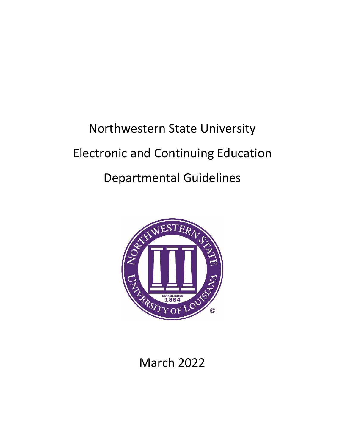# Northwestern State University Electronic and Continuing Education Departmental Guidelines



March 2022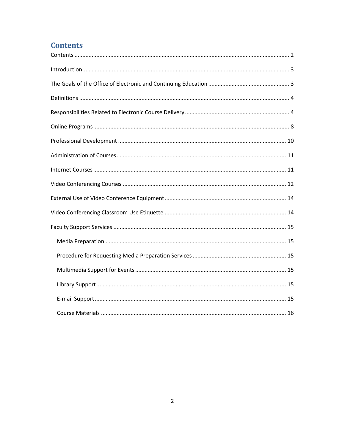# <span id="page-1-0"></span>**Contents**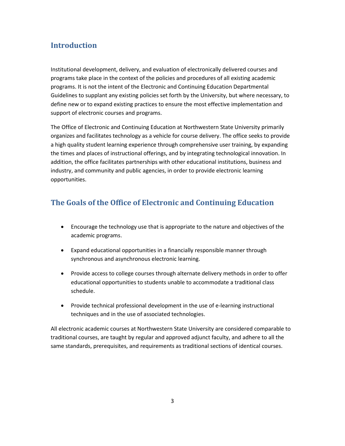# <span id="page-2-0"></span>**Introduction**

Institutional development, delivery, and evaluation of electronically delivered courses and programs take place in the context of the policies and procedures of all existing academic programs. It is not the intent of the Electronic and Continuing Education Departmental Guidelines to supplant any existing policies set forth by the University, but where necessary, to define new or to expand existing practices to ensure the most effective implementation and support of electronic courses and programs.

The Office of Electronic and Continuing Education at Northwestern State University primarily organizes and facilitates technology as a vehicle for course delivery. The office seeks to provide a high quality student learning experience through comprehensive user training, by expanding the times and places of instructional offerings, and by integrating technological innovation. In addition, the office facilitates partnerships with other educational institutions, business and industry, and community and public agencies, in order to provide electronic learning opportunities.

# <span id="page-2-1"></span>**The Goals of the Office of Electronic and Continuing Education**

- Encourage the technology use that is appropriate to the nature and objectives of the academic programs.
- Expand educational opportunities in a financially responsible manner through synchronous and asynchronous electronic learning.
- Provide access to college courses through alternate delivery methods in order to offer educational opportunities to students unable to accommodate a traditional class schedule.
- Provide technical professional development in the use of e-learning instructional techniques and in the use of associated technologies.

All electronic academic courses at Northwestern State University are considered comparable to traditional courses, are taught by regular and approved adjunct faculty, and adhere to all the same standards, prerequisites, and requirements as traditional sections of identical courses.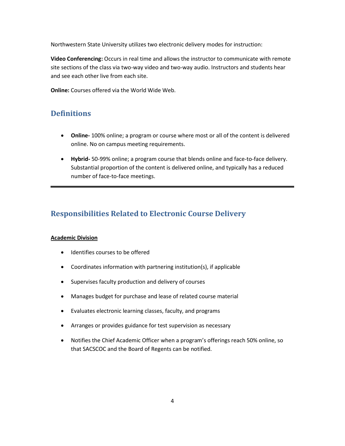Northwestern State University utilizes two electronic delivery modes for instruction:

**Video Conferencing:** Occurs in real time and allows the instructor to communicate with remote site sections of the class via two-way video and two-way audio. Instructors and students hear and see each other live from each site.

**Online:** Courses offered via the World Wide Web.

# <span id="page-3-0"></span>**Definitions**

- **Online-** 100% online; a program or course where most or all of the content is delivered online. No on campus meeting requirements.
- **Hybrid-** 50-99% online; a program course that blends online and face-to-face delivery. Substantial proportion of the content is delivered online, and typically has a reduced number of face-to-face meetings.

# <span id="page-3-1"></span>**Responsibilities Related to Electronic Course Delivery**

# **Academic Division**

- Identifies courses to be offered
- Coordinates information with partnering institution(s), if applicable
- Supervises faculty production and delivery of courses
- Manages budget for purchase and lease of related course material
- Evaluates electronic learning classes, faculty, and programs
- Arranges or provides guidance for test supervision as necessary
- Notifies the Chief Academic Officer when a program's offerings reach 50% online, so that SACSCOC and the Board of Regents can be notified.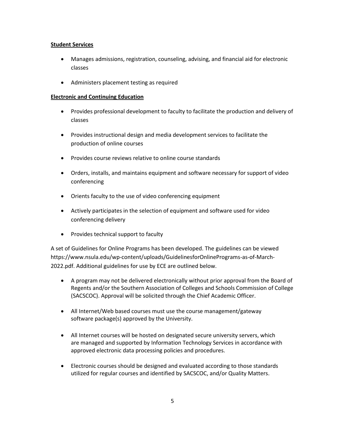#### **Student Services**

- Manages admissions, registration, counseling, advising, and financial aid for electronic classes
- Administers placement testing as required

## **Electronic and Continuing Education**

- Provides professional development to faculty to facilitate the production and delivery of classes
- Provides instructional design and media development services to facilitate the production of online courses
- Provides course reviews relative to online course standards
- Orders, installs, and maintains equipment and software necessary for support of video conferencing
- Orients faculty to the use of video conferencing equipment
- Actively participates in the selection of equipment and software used for video conferencing delivery
- Provides technical support to faculty

A set of Guidelines for Online Programs has been developed. The guidelines can be viewed https://www.nsula.edu/wp-content/uploads/GuidelinesforOnlinePrograms-as-of-March-2022.pdf. Additional guidelines for use by ECE are outlined below.

- A program may not be delivered electronically without prior approval from the Board of Regents and/or the Southern Association of Colleges and Schools Commission of College (SACSCOC). Approval will be solicited through the Chief Academic Officer.
- All Internet/Web based courses must use the course management/gateway software package(s) approved by the University.
- All Internet courses will be hosted on designated secure university servers, which are managed and supported by Information Technology Services in accordance with approved electronic data processing policies and procedures.
- Electronic courses should be designed and evaluated according to those standards utilized for regular courses and identified by SACSCOC, and/or Quality Matters.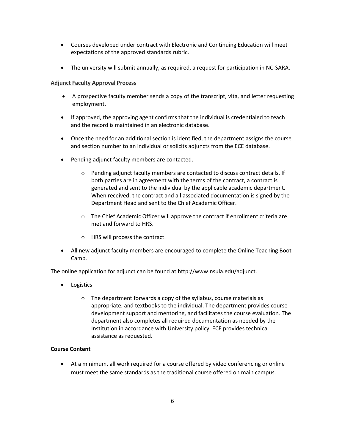- Courses developed under contract with Electronic and Continuing Education will meet expectations of the approved standards rubric.
- The university will submit annually, as required, a request for participation in NC-SARA.

# **Adjunct Faculty Approval Process**

- A prospective faculty member sends a copy of the transcript, vita, and letter requesting employment.
- If approved, the approving agent confirms that the individual is credentialed to teach and the record is maintained in an electronic database.
- Once the need for an additional section is identified, the department assigns the course and section number to an individual or solicits adjuncts from the ECE database.
- Pending adjunct faculty members are contacted.
	- o Pending adjunct faculty members are contacted to discuss contract details. If both parties are in agreement with the terms of the contract, a contract is generated and sent to the individual by the applicable academic department. When received, the contract and all associated documentation is signed by the Department Head and sent to the Chief Academic Officer.
	- o The Chief Academic Officer will approve the contract if enrollment criteria are met and forward to HRS.
	- o HRS will process the contract.
- All new adjunct faculty members are encouraged to complete the Online Teaching Boot Camp.

The online application for adjunct can be found a[t http://www.nsula.edu/adjunct.](http://www.nsula.edu/adjunct)

- Logistics
	- o The department forwards a copy of the syllabus, course materials as appropriate, and textbooks to the individual. The department provides course development support and mentoring, and facilitates the course evaluation. The department also completes all required documentation as needed by the Institution in accordance with University policy. ECE provides technical assistance as requested.

# **Course Content**

• At a minimum, all work required for a course offered by video conferencing or online must meet the same standards as the traditional course offered on main campus.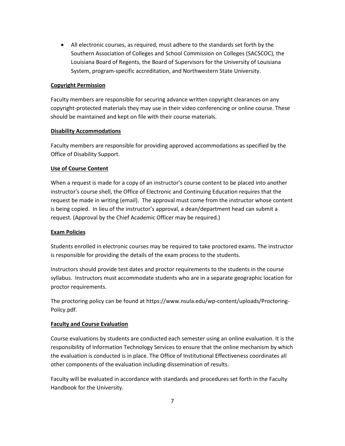• All electronic courses, as required, must adhere to the standards set forth by the Southern Association of Colleges and School Commission on Colleges (SACSCOC), the Louisiana Board of Regents, the Board of Supervisors for the University of Louisiana System, program-specific accreditation, and Northwestern State University.

## **Copyright Permission**

Faculty members are responsible for securing advance written copyright clearances on any copyright-protected materials they may use in their video conferencing or online course. These should be maintained and kept on file with their course materials.

## **Disability Accommodations**

Faculty members are responsible for providing approved accommodations as specified by the Office of Disability Support.

# **Use of Course Content**

When a request is made for a copy of an instructor's course content to be placed into another instructor's course shell, the Office of Electronic and Continuing Education requires that the request be made in writing (email). The approval must come from the instructor whose content is being copied. In lieu of the instructor's approval, a dean/department head can submit a request. (Approval by the Chief Academic Officer may be required.)

# **Exam Policies**

Students enrolled in electronic courses may be required to take proctored exams. The instructor is responsible for providing the details of the exam process to the students.

Instructors should provide test dates and proctor requirements to the students in the course syllabus. Instructors must accommodate students who are in a separate geographic location for proctor requirements.

The proctoring policy can be found a[t https://www.nsula.edu/wp-content/uploads/Proctoring-](https://www.nsula.edu/wp-content/uploads/Proctoring-Policy.pdf)[Policy.pdf.](https://www.nsula.edu/wp-content/uploads/Proctoring-Policy.pdf)

# **Faculty and Course Evaluation**

Course evaluations by students are conducted each semester using an online evaluation. It is the responsibility of Information Technology Services to ensure that the online mechanism by which the evaluation is conducted is in place. The Office of Institutional Effectiveness coordinates all other components of the evaluation including dissemination of results.

Faculty will be evaluated in accordance with standards and procedures set forth in the Faculty Handbook for the University.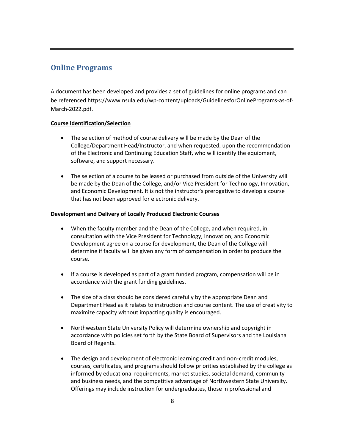# <span id="page-7-0"></span>**Online Programs**

A document has been developed and provides a set of guidelines for online programs and can be referenced https://www.nsula.edu/wp-content/uploads/GuidelinesforOnlinePrograms-as-of-March-2022.pdf.

# **Course Identification/Selection**

- The selection of method of course delivery will be made by the Dean of the College/Department Head/Instructor, and when requested, upon the recommendation of the Electronic and Continuing Education Staff, who will identify the equipment, software, and support necessary.
- The selection of a course to be leased or purchased from outside of the University will be made by the Dean of the College, and/or Vice President for Technology, Innovation, and Economic Development. It is not the instructor's prerogative to develop a course that has not been approved for electronic delivery.

# **Development and Delivery of Locally Produced Electronic Courses**

- When the faculty member and the Dean of the College, and when required, in consultation with the Vice President for Technology, Innovation, and Economic Development agree on a course for development, the Dean of the College will determine if faculty will be given any form of compensation in order to produce the course.
- If a course is developed as part of a grant funded program, compensation will be in accordance with the grant funding guidelines.
- The size of a class should be considered carefully by the appropriate Dean and Department Head as it relates to instruction and course content. The use of creativity to maximize capacity without impacting quality is encouraged.
- Northwestern State University Policy will determine ownership and copyright in accordance with policies set forth by the State Board of Supervisors and the Louisiana Board of Regents.
- The design and development of electronic learning credit and non-credit modules, courses, certificates, and programs should follow priorities established by the college as informed by educational requirements, market studies, societal demand, community and business needs, and the competitive advantage of Northwestern State University. Offerings may include instruction for undergraduates, those in professional and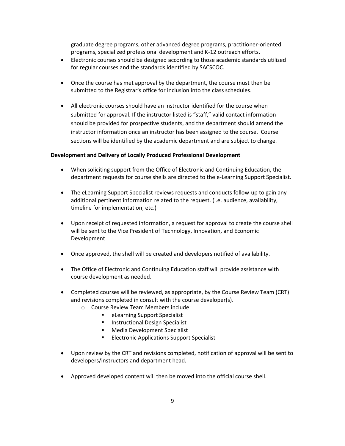graduate degree programs, other advanced degree programs, practitioner-oriented programs, specialized professional development and K-12 outreach efforts.

- Electronic courses should be designed according to those academic standards utilized for regular courses and the standards identified by SACSCOC.
- Once the course has met approval by the department, the course must then be submitted to the Registrar's office for inclusion into the class schedules.
- All electronic courses should have an instructor identified for the course when submitted for approval. If the instructor listed is "staff," valid contact information should be provided for prospective students, and the department should amend the instructor information once an instructor has been assigned to the course. Course sections will be identified by the academic department and are subject to change.

#### **Development and Delivery of Locally Produced Professional Development**

- When soliciting support from the Office of Electronic and Continuing Education, the department requests for course shells are directed to the e-Learning Support Specialist.
- The eLearning Support Specialist reviews requests and conducts follow-up to gain any additional pertinent information related to the request. (i.e. audience, availability, timeline for implementation, etc.)
- Upon receipt of requested information, a request for approval to create the course shell will be sent to the Vice President of Technology, Innovation, and Economic Development
- Once approved, the shell will be created and developers notified of availability.
- The Office of Electronic and Continuing Education staff will provide assistance with course development as needed.
- Completed courses will be reviewed, as appropriate, by the Course Review Team (CRT) and revisions completed in consult with the course developer(s).
	- o Course Review Team Members include:
		- eLearning Support Specialist
		- **■** Instructional Design Specialist
		- Media Development Specialist
		- **Electronic Applications Support Specialist**
- Upon review by the CRT and revisions completed, notification of approval will be sent to developers/instructors and department head.
- Approved developed content will then be moved into the official course shell.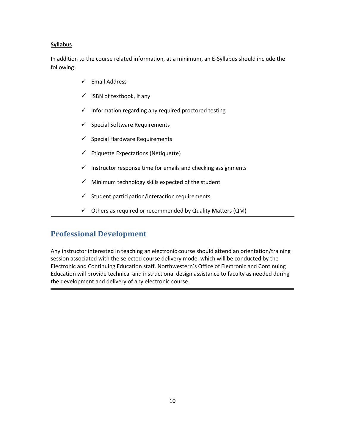## **Syllabus**

In addition to the course related information, at a minimum, an E-Syllabus should include the following:

- ✓ Email Address
- $\checkmark$  ISBN of textbook, if any
- $\checkmark$  Information regarding any required proctored testing
- $\checkmark$  Special Software Requirements
- $\checkmark$  Special Hardware Requirements
- $\checkmark$  Etiquette Expectations (Netiquette)
- $\checkmark$  Instructor response time for emails and checking assignments
- $\checkmark$  Minimum technology skills expected of the student
- $\checkmark$  Student participation/interaction requirements
- $\checkmark$  Others as required or recommended by Quality Matters (QM)

# <span id="page-9-0"></span>**Professional Development**

Any instructor interested in teaching an electronic course should attend an orientation/training session associated with the selected course delivery mode, which will be conducted by the Electronic and Continuing Education staff. Northwestern's Office of Electronic and Continuing Education will provide technical and instructional design assistance to faculty as needed during the development and delivery of any electronic course.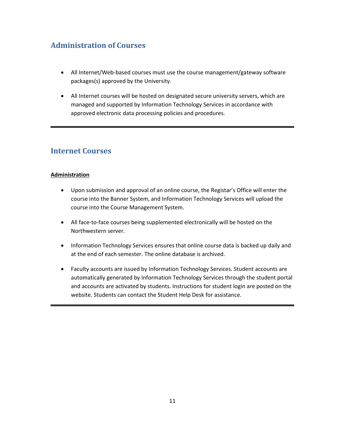# <span id="page-10-0"></span>**Administration of Courses**

- All Internet/Web-based courses must use the course management/gateway software packages(s) approved by the University.
- All Internet courses will be hosted on designated secure university servers, which are managed and supported by Information Technology Services in accordance with approved electronic data processing policies and procedures.

# <span id="page-10-1"></span>**Internet Courses**

# **Administration**

- Upon submission and approval of an online course, the Registar's Office will enter the course into the Banner System, and Information Technology Services will upload the course into the Course Management System.
- All face-to-face courses being supplemented electronically will be hosted on the Northwestern server.
- Information Technology Services ensures that online course data is backed up daily and at the end of each semester. The online database is archived.
- Faculty accounts are issued by Information Technology Services. Student accounts are automatically generated by Information Technology Services through the student portal and accounts are activated by students. Instructions for student login are posted on the website. Students can contact the Student Help Desk for assistance.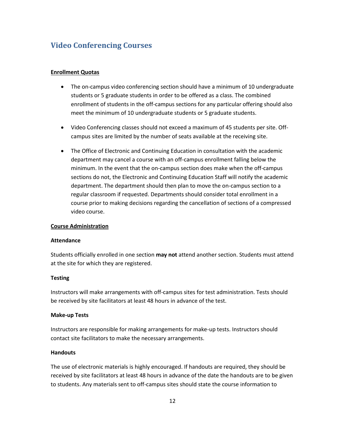# <span id="page-11-0"></span>**Video Conferencing Courses**

#### **Enrollment Quotas**

- The on-campus video conferencing section should have a minimum of 10 undergraduate students or 5 graduate students in order to be offered as a class. The combined enrollment of students in the off-campus sections for any particular offering should also meet the minimum of 10 undergraduate students or 5 graduate students.
- Video Conferencing classes should not exceed a maximum of 45 students per site. Offcampus sites are limited by the number of seats available at the receiving site.
- The Office of Electronic and Continuing Education in consultation with the academic department may cancel a course with an off-campus enrollment falling below the minimum. In the event that the on-campus section does make when the off-campus sections do not, the Electronic and Continuing Education Staff will notify the academic department. The department should then plan to move the on-campus section to a regular classroom if requested. Departments should consider total enrollment in a course prior to making decisions regarding the cancellation of sections of a compressed video course.

#### **Course Administration**

#### **Attendance**

Students officially enrolled in one section **may not** attend another section. Students must attend at the site for which they are registered.

#### **Testing**

Instructors will make arrangements with off-campus sites for test administration. Tests should be received by site facilitators at least 48 hours in advance of the test.

#### **Make-up Tests**

Instructors are responsible for making arrangements for make-up tests. Instructors should contact site facilitators to make the necessary arrangements.

#### **Handouts**

The use of electronic materials is highly encouraged. If handouts are required, they should be received by site facilitators at least 48 hours in advance of the date the handouts are to be given to students. Any materials sent to off-campus sites should state the course information to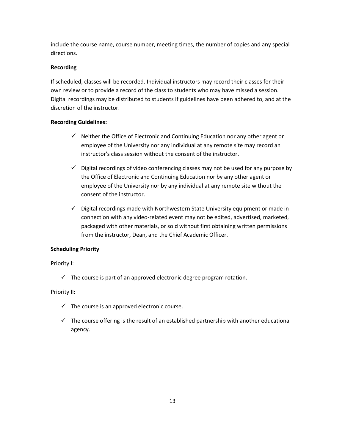include the course name, course number, meeting times, the number of copies and any special directions.

## **Recording**

If scheduled, classes will be recorded. Individual instructors may record their classes for their own review or to provide a record of the class to students who may have missed a session. Digital recordings may be distributed to students if guidelines have been adhered to, and at the discretion of the instructor.

## **Recording Guidelines:**

- $\checkmark$  Neither the Office of Electronic and Continuing Education nor any other agent or employee of the University nor any individual at any remote site may record an instructor's class session without the consent of the instructor.
- $\checkmark$  Digital recordings of video conferencing classes may not be used for any purpose by the Office of Electronic and Continuing Education nor by any other agent or employee of the University nor by any individual at any remote site without the consent of the instructor.
- ✓ Digital recordings made with Northwestern State University equipment or made in connection with any video-related event may not be edited, advertised, marketed, packaged with other materials, or sold without first obtaining written permissions from the instructor, Dean, and the Chief Academic Officer.

# **Scheduling Priority**

#### Priority I:

 $\checkmark$  The course is part of an approved electronic degree program rotation.

#### Priority II:

- $\checkmark$  The course is an approved electronic course.
- $\checkmark$  The course offering is the result of an established partnership with another educational agency.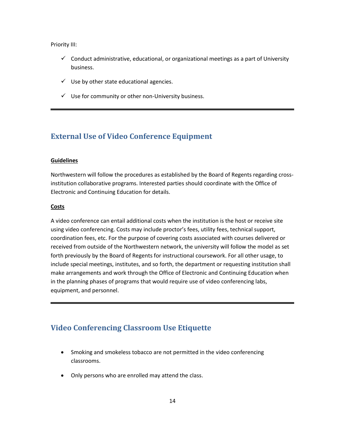Priority III:

- $\checkmark$  Conduct administrative, educational, or organizational meetings as a part of University business.
- $\checkmark$  Use by other state educational agencies.
- $\checkmark$  Use for community or other non-University business.

# <span id="page-13-0"></span>**External Use of Video Conference Equipment**

#### **Guidelines**

Northwestern will follow the procedures as established by the Board of Regents regarding crossinstitution collaborative programs. Interested parties should coordinate with the Office of Electronic and Continuing Education for details.

#### **Costs**

A video conference can entail additional costs when the institution is the host or receive site using video conferencing. Costs may include proctor's fees, utility fees, technical support, coordination fees, etc. For the purpose of covering costs associated with courses delivered or received from outside of the Northwestern network, the university will follow the model as set forth previously by the Board of Regents for instructional coursework. For all other usage, to include special meetings, institutes, and so forth, the department or requesting institution shall make arrangements and work through the Office of Electronic and Continuing Education when in the planning phases of programs that would require use of video conferencing labs, equipment, and personnel.

# <span id="page-13-1"></span>**Video Conferencing Classroom Use Etiquette**

- Smoking and smokeless tobacco are not permitted in the video conferencing classrooms.
- Only persons who are enrolled may attend the class.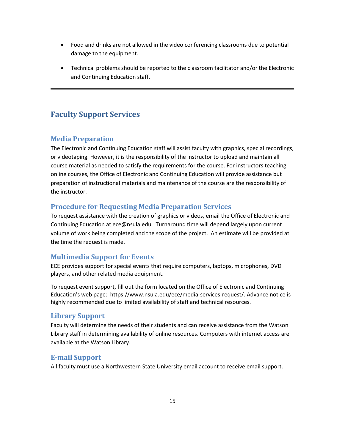- Food and drinks are not allowed in the video conferencing classrooms due to potential damage to the equipment.
- Technical problems should be reported to the classroom facilitator and/or the Electronic and Continuing Education staff.

# <span id="page-14-0"></span>**Faculty Support Services**

# <span id="page-14-1"></span>**Media Preparation**

The Electronic and Continuing Education staff will assist faculty with graphics, special recordings, or videotaping. However, it is the responsibility of the instructor to upload and maintain all course material as needed to satisfy the requirements for the course. For instructors teaching online courses, the Office of Electronic and Continuing Education will provide assistance but preparation of instructional materials and maintenance of the course are the responsibility of the instructor.

# <span id="page-14-2"></span>**Procedure for Requesting Media Preparation Services**

To request assistance with the creation of graphics or videos, email the Office of Electronic and Continuing Education at [ece@nsula.edu.](mailto:ece@nsula.edu) Turnaround time will depend largely upon current volume of work being completed and the scope of the project. An estimate will be provided at the time the request is made.

# <span id="page-14-3"></span>**Multimedia Support for Events**

ECE provides support for special events that require computers, laptops, microphones, DVD players, and other related media equipment.

To request event support, fill out the form located on the Office of Electronic and Continuing Education's web page: https://www.nsula.edu/ece/media-services-request/. Advance notice is highly recommended due to limited availability of staff and technical resources.

# <span id="page-14-4"></span>**Library Support**

Faculty will determine the needs of their students and can receive assistance from the Watson Library staff in determining availability of online resources. Computers with internet access are available at the Watson Library.

# <span id="page-14-5"></span>**E-mail Support**

All faculty must use a Northwestern State University email account to receive email support.